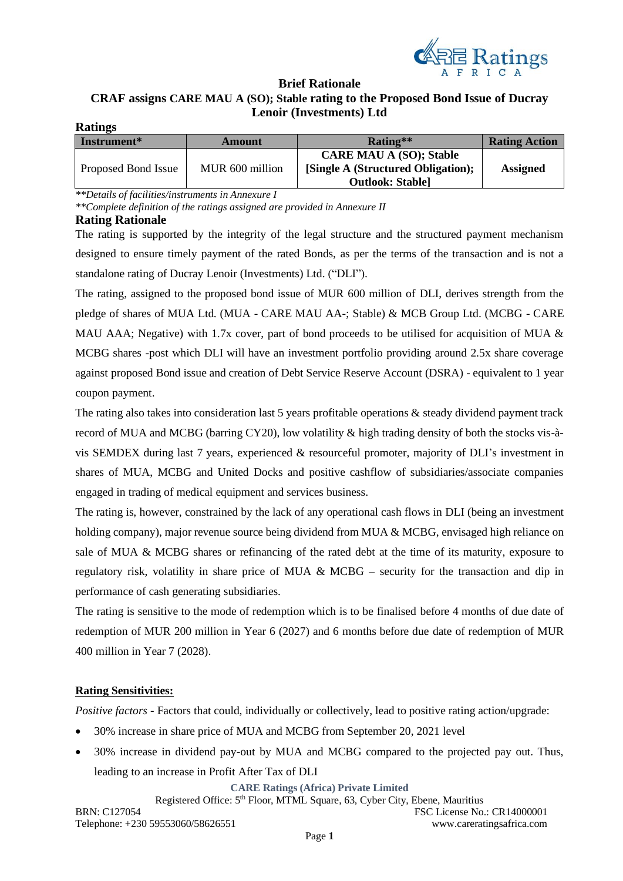

### **Brief Rationale CRAF assigns CARE MAU A (SO); Stable rating to the Proposed Bond Issue of Ducray Lenoir (Investments) Ltd Ratings**

| Raumgs              |                 |                                    |                      |
|---------------------|-----------------|------------------------------------|----------------------|
| Instrument*         | Amount          | Rating**                           | <b>Rating Action</b> |
|                     |                 | <b>CARE MAU A (SO); Stable</b>     |                      |
| Proposed Bond Issue | MUR 600 million | [Single A (Structured Obligation); | <b>Assigned</b>      |
|                     |                 | <b>Outlook: Stable]</b>            |                      |

*\*\*Details of facilities/instruments in Annexure I*

*\*\*Complete definition of the ratings assigned are provided in Annexure II*

## **Rating Rationale**

The rating is supported by the integrity of the legal structure and the structured payment mechanism designed to ensure timely payment of the rated Bonds, as per the terms of the transaction and is not a standalone rating of Ducray Lenoir (Investments) Ltd. ("DLI").

The rating, assigned to the proposed bond issue of MUR 600 million of DLI, derives strength from the pledge of shares of MUA Ltd. (MUA - CARE MAU AA-; Stable) & MCB Group Ltd. (MCBG - CARE MAU AAA; Negative) with 1.7x cover, part of bond proceeds to be utilised for acquisition of MUA  $\&$ MCBG shares -post which DLI will have an investment portfolio providing around 2.5x share coverage against proposed Bond issue and creation of Debt Service Reserve Account (DSRA) - equivalent to 1 year coupon payment.

The rating also takes into consideration last 5 years profitable operations  $\&$  steady dividend payment track record of MUA and MCBG (barring CY20), low volatility & high trading density of both the stocks vis-àvis SEMDEX during last 7 years, experienced & resourceful promoter, majority of DLI's investment in shares of MUA, MCBG and United Docks and positive cashflow of subsidiaries/associate companies engaged in trading of medical equipment and services business.

The rating is, however, constrained by the lack of any operational cash flows in DLI (being an investment holding company), major revenue source being dividend from MUA & MCBG, envisaged high reliance on sale of MUA & MCBG shares or refinancing of the rated debt at the time of its maturity, exposure to regulatory risk, volatility in share price of MUA  $\& \text{MCBG}$  – security for the transaction and dip in performance of cash generating subsidiaries.

The rating is sensitive to the mode of redemption which is to be finalised before 4 months of due date of redemption of MUR 200 million in Year 6 (2027) and 6 months before due date of redemption of MUR 400 million in Year 7 (2028).

# **Rating Sensitivities:**

*Positive factors* - Factors that could, individually or collectively, lead to positive rating action/upgrade:

- 30% increase in share price of MUA and MCBG from September 20, 2021 level
- 30% increase in dividend pay-out by MUA and MCBG compared to the projected pay out. Thus, leading to an increase in Profit After Tax of DLI

**CARE Ratings (Africa) Private Limited**

Registered Office: 5<sup>th</sup> Floor, MTML Square, 63, Cyber City, Ebene, Mauritius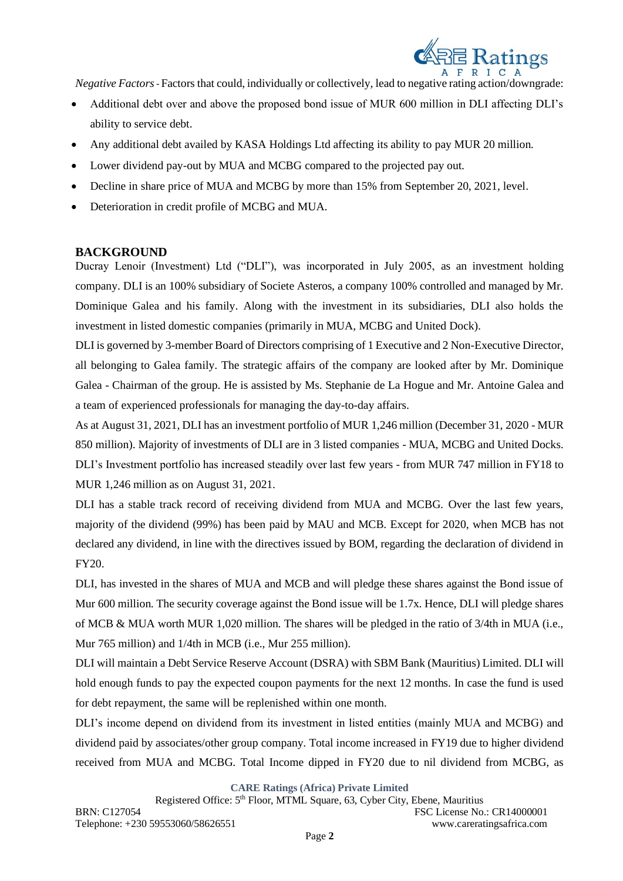

*Negative Factors-* Factors that could, individually or collectively, lead to negative rating action/downgrade:

- Additional debt over and above the proposed bond issue of MUR 600 million in DLI affecting DLI's ability to service debt.
- Any additional debt availed by KASA Holdings Ltd affecting its ability to pay MUR 20 million.
- Lower dividend pay-out by MUA and MCBG compared to the projected pay out.
- Decline in share price of MUA and MCBG by more than 15% from September 20, 2021, level.
- Deterioration in credit profile of MCBG and MUA.

# **BACKGROUND**

Ducray Lenoir (Investment) Ltd ("DLI"), was incorporated in July 2005, as an investment holding company. DLI is an 100% subsidiary of Societe Asteros, a company 100% controlled and managed by Mr. Dominique Galea and his family. Along with the investment in its subsidiaries, DLI also holds the investment in listed domestic companies (primarily in MUA, MCBG and United Dock).

DLI is governed by 3-member Board of Directors comprising of 1 Executive and 2 Non-Executive Director, all belonging to Galea family. The strategic affairs of the company are looked after by Mr. Dominique Galea - Chairman of the group. He is assisted by Ms. Stephanie de La Hogue and Mr. Antoine Galea and a team of experienced professionals for managing the day-to-day affairs.

As at August 31, 2021, DLI has an investment portfolio of MUR 1,246 million (December 31, 2020 - MUR 850 million). Majority of investments of DLI are in 3 listed companies - MUA, MCBG and United Docks. DLI's Investment portfolio has increased steadily over last few years - from MUR 747 million in FY18 to MUR 1,246 million as on August 31, 2021.

DLI has a stable track record of receiving dividend from MUA and MCBG. Over the last few years, majority of the dividend (99%) has been paid by MAU and MCB. Except for 2020, when MCB has not declared any dividend, in line with the directives issued by BOM, regarding the declaration of dividend in FY20.

DLI, has invested in the shares of MUA and MCB and will pledge these shares against the Bond issue of Mur 600 million. The security coverage against the Bond issue will be 1.7x. Hence, DLI will pledge shares of MCB & MUA worth MUR 1,020 million. The shares will be pledged in the ratio of 3/4th in MUA (i.e., Mur 765 million) and 1/4th in MCB (i.e., Mur 255 million).

DLI will maintain a Debt Service Reserve Account (DSRA) with SBM Bank (Mauritius) Limited. DLI will hold enough funds to pay the expected coupon payments for the next 12 months. In case the fund is used for debt repayment, the same will be replenished within one month.

DLI's income depend on dividend from its investment in listed entities (mainly MUA and MCBG) and dividend paid by associates/other group company. Total income increased in FY19 due to higher dividend received from MUA and MCBG. Total Income dipped in FY20 due to nil dividend from MCBG, as

**CARE Ratings (Africa) Private Limited**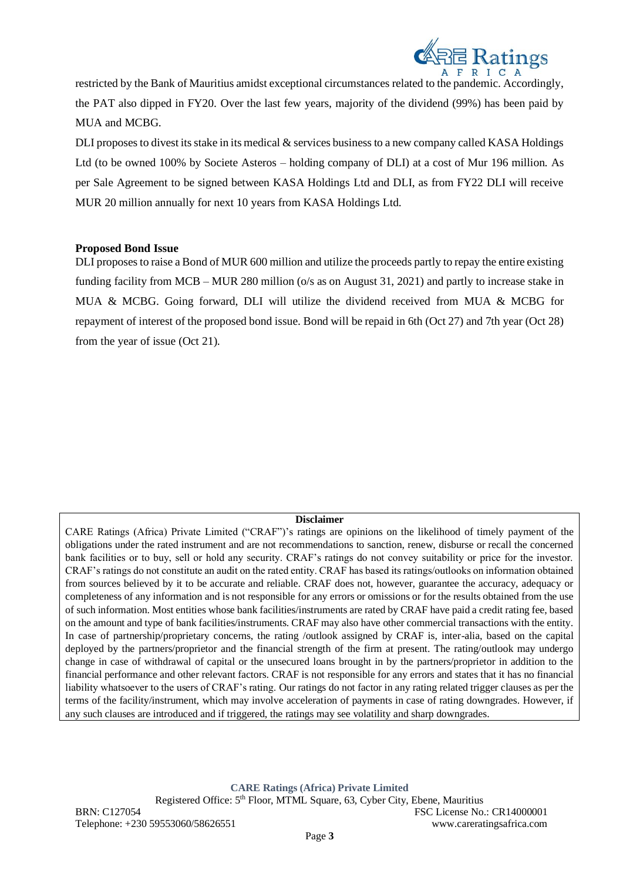

restricted by the Bank of Mauritius amidst exceptional circumstances related to the pandemic. Accordingly, the PAT also dipped in FY20. Over the last few years, majority of the dividend (99%) has been paid by MUA and MCBG.

DLI proposes to divest its stake in its medical & services business to a new company called KASA Holdings Ltd (to be owned 100% by Societe Asteros – holding company of DLI) at a cost of Mur 196 million. As per Sale Agreement to be signed between KASA Holdings Ltd and DLI, as from FY22 DLI will receive MUR 20 million annually for next 10 years from KASA Holdings Ltd.

## **Proposed Bond Issue**

DLI proposes to raise a Bond of MUR 600 million and utilize the proceeds partly to repay the entire existing funding facility from MCB – MUR 280 million (o/s as on August 31, 2021) and partly to increase stake in MUA & MCBG. Going forward, DLI will utilize the dividend received from MUA & MCBG for repayment of interest of the proposed bond issue. Bond will be repaid in 6th (Oct 27) and 7th year (Oct 28) from the year of issue (Oct 21).

### **Disclaimer**

CARE Ratings (Africa) Private Limited ("CRAF")'s ratings are opinions on the likelihood of timely payment of the obligations under the rated instrument and are not recommendations to sanction, renew, disburse or recall the concerned bank facilities or to buy, sell or hold any security. CRAF's ratings do not convey suitability or price for the investor. CRAF's ratings do not constitute an audit on the rated entity. CRAF has based its ratings/outlooks on information obtained from sources believed by it to be accurate and reliable. CRAF does not, however, guarantee the accuracy, adequacy or completeness of any information and is not responsible for any errors or omissions or for the results obtained from the use of such information. Most entities whose bank facilities/instruments are rated by CRAF have paid a credit rating fee, based on the amount and type of bank facilities/instruments. CRAF may also have other commercial transactions with the entity. In case of partnership/proprietary concerns, the rating /outlook assigned by CRAF is, inter-alia, based on the capital deployed by the partners/proprietor and the financial strength of the firm at present. The rating/outlook may undergo change in case of withdrawal of capital or the unsecured loans brought in by the partners/proprietor in addition to the financial performance and other relevant factors. CRAF is not responsible for any errors and states that it has no financial liability whatsoever to the users of CRAF's rating. Our ratings do not factor in any rating related trigger clauses as per the terms of the facility/instrument, which may involve acceleration of payments in case of rating downgrades. However, if any such clauses are introduced and if triggered, the ratings may see volatility and sharp downgrades.

**CARE Ratings (Africa) Private Limited**

Registered Office: 5<sup>th</sup> Floor, MTML Square, 63, Cyber City, Ebene, Mauritius